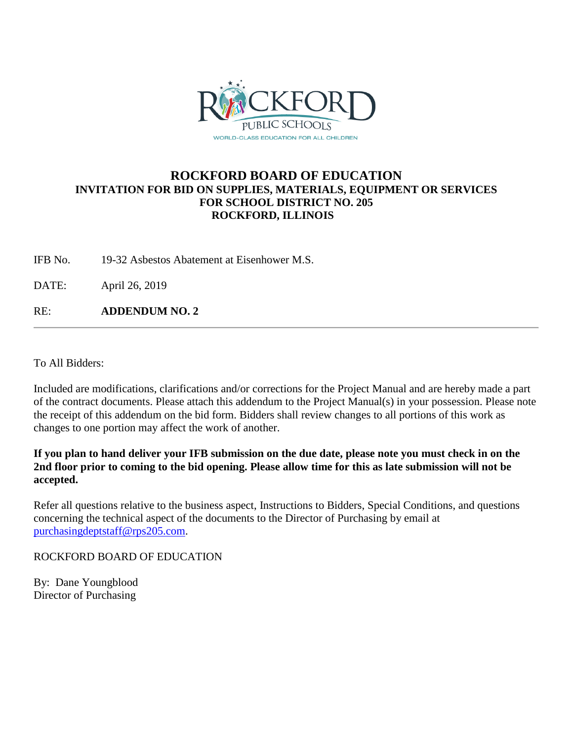

## **ROCKFORD BOARD OF EDUCATION INVITATION FOR BID ON SUPPLIES, MATERIALS, EQUIPMENT OR SERVICES FOR SCHOOL DISTRICT NO. 205 ROCKFORD, ILLINOIS**

IFB No. 19-32 Asbestos Abatement at Eisenhower M.S.

DATE: April 26, 2019

RE: **ADDENDUM NO. 2**

To All Bidders:

Included are modifications, clarifications and/or corrections for the Project Manual and are hereby made a part of the contract documents. Please attach this addendum to the Project Manual(s) in your possession. Please note the receipt of this addendum on the bid form. Bidders shall review changes to all portions of this work as changes to one portion may affect the work of another.

**If you plan to hand deliver your IFB submission on the due date, please note you must check in on the 2nd floor prior to coming to the bid opening. Please allow time for this as late submission will not be accepted.**

Refer all questions relative to the business aspect, Instructions to Bidders, Special Conditions, and questions concerning the technical aspect of the documents to the Director of Purchasing by email at [purchasingdeptstaff@rps205.com.](mailto:purchasingdeptstaff@rps205.com)

ROCKFORD BOARD OF EDUCATION

By: Dane Youngblood Director of Purchasing